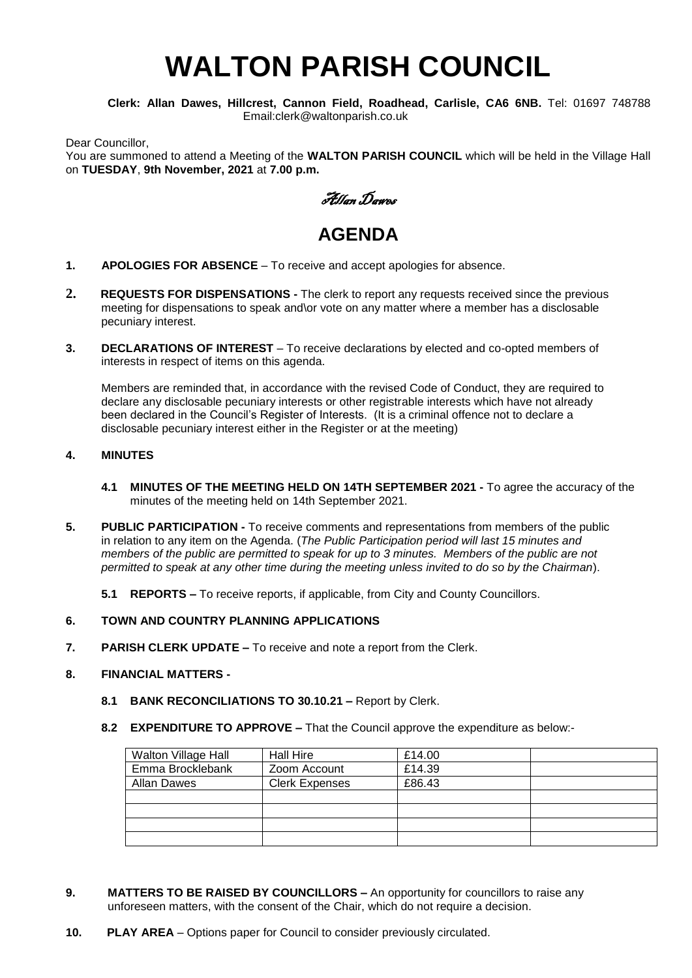# **WALTON PARISH COUNCIL**

**Clerk: Allan Dawes, Hillcrest, Cannon Field, Roadhead, Carlisle, CA6 6NB.** Tel: 01697 748788 Email:clerk@waltonparish.co.uk

Dear Councillor, You are summoned to attend a Meeting of the **WALTON PARISH COUNCIL** which will be held in the Village Hall on **TUESDAY**, **9th November, 2021** at **7.00 p.m.**



## **AGENDA**

- **1. APOLOGIES FOR ABSENCE** To receive and accept apologies for absence.
- **2. REQUESTS FOR DISPENSATIONS -** The clerk to report any requests received since the previous meeting for dispensations to speak and\or vote on any matter where a member has a disclosable pecuniary interest.
- **3. DECLARATIONS OF INTEREST** To receive declarations by elected and co-opted members of interests in respect of items on this agenda.

 Members are reminded that, in accordance with the revised Code of Conduct, they are required to declare any disclosable pecuniary interests or other registrable interests which have not already been declared in the Council's Register of Interests. (It is a criminal offence not to declare a disclosable pecuniary interest either in the Register or at the meeting)

#### **4. MINUTES**

- **4.1 MINUTES OF THE MEETING HELD ON 14TH SEPTEMBER 2021 -** To agree the accuracy of the minutes of the meeting held on 14th September 2021.
- **5. PUBLIC PARTICIPATION -** To receive comments and representations from members of the public in relation to any item on the Agenda. (*The Public Participation period will last 15 minutes and members of the public are permitted to speak for up to 3 minutes. Members of the public are not permitted to speak at any other time during the meeting unless invited to do so by the Chairman*).
	- **5.1 REPORTS –** To receive reports, if applicable, from City and County Councillors.
- **6. TOWN AND COUNTRY PLANNING APPLICATIONS**
- **7. PARISH CLERK UPDATE –** To receive and note a report from the Clerk.

#### **8. FINANCIAL MATTERS -**

- **8.1 BANK RECONCILIATIONS TO 30.10.21 –** Report by Clerk.
- **8.2 EXPENDITURE TO APPROVE –** That the Council approve the expenditure as below:-

| Walton Village Hall | <b>Hall Hire</b>      | £14.00 |  |
|---------------------|-----------------------|--------|--|
| Emma Brocklebank    | Zoom Account          | £14.39 |  |
| <b>Allan Dawes</b>  | <b>Clerk Expenses</b> | £86.43 |  |
|                     |                       |        |  |
|                     |                       |        |  |
|                     |                       |        |  |
|                     |                       |        |  |

- **9. MATTERS TO BE RAISED BY COUNCILLORS –** An opportunity for councillors to raise any unforeseen matters, with the consent of the Chair, which do not require a decision.
- **10. PLAY AREA** Options paper for Council to consider previously circulated.